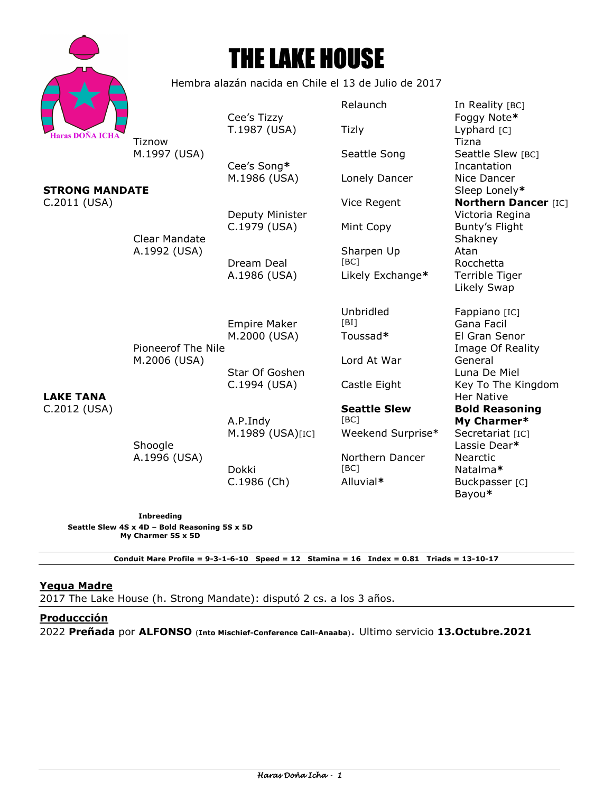

# THE LAKE HOUSE

Hembra alazán nacida en Chile el 13 de Julio de 2017

|                                             |                                    | Cee's Tizzy                     | Relaunch                    | In Reality [BC]<br>Foggy Note*               |
|---------------------------------------------|------------------------------------|---------------------------------|-----------------------------|----------------------------------------------|
| Haras DOÑA ICHA                             | Tiznow<br>M.1997 (USA)             | T.1987 (USA)                    | <b>Tizly</b>                | Lyphard [C]<br>Tizna                         |
|                                             |                                    | Cee's Song*                     | Seattle Song                | Seattle Slew [BC]<br>Incantation             |
| <b>STRONG MANDATE</b>                       |                                    | M.1986 (USA)                    | Lonely Dancer               | Nice Dancer<br>Sleep Lonely*                 |
| C.2011 (USA)                                |                                    |                                 | Vice Regent                 | <b>Northern Dancer [IC]</b>                  |
|                                             | <b>Clear Mandate</b>               | Deputy Minister<br>C.1979 (USA) | Mint Copy                   | Victoria Regina<br>Bunty's Flight<br>Shakney |
|                                             | A.1992 (USA)                       | Dream Deal                      | Sharpen Up<br>[BC]          | Atan<br>Rocchetta                            |
| <b>LAKE TANA</b><br>C.2012 (USA)<br>Shoogle |                                    | A.1986 (USA)                    | Likely Exchange*            | Terrible Tiger<br>Likely Swap                |
|                                             |                                    | <b>Empire Maker</b>             | Unbridled<br>[BI]           | Fappiano [IC]<br>Gana Facil                  |
|                                             | Pioneerof The Nile<br>M.2006 (USA) | M.2000 (USA)                    | Toussad*                    | El Gran Senor<br>Image Of Reality            |
|                                             |                                    | Star Of Goshen                  | Lord At War                 | General<br>Luna De Miel                      |
|                                             |                                    | C.1994 (USA)                    | Castle Eight                | Key To The Kingdom<br><b>Her Native</b>      |
|                                             | A.1996 (USA)                       | A.P.Indy                        | <b>Seattle Slew</b><br>[BC] | <b>Bold Reasoning</b><br>My Charmer*         |
|                                             |                                    | M.1989 (USA)[IC]                | Weekend Surprise*           | Secretariat [IC]<br>Lassie Dear*             |
|                                             |                                    | Dokki                           | Northern Dancer<br>[BC]     | <b>Nearctic</b><br>Natalma*                  |
|                                             |                                    | $C.1986$ (Ch)                   | Alluvial*                   | Buckpasser [C]<br>Bayou*                     |

**Inbreeding Seattle Slew 4S x 4D – Bold Reasoning 5S x 5D My Charmer 5S x 5D** 

**Conduit Mare Profile = 9-3-1-6-10 Speed = 12 Stamina = 16 Index = 0.81 Triads = 13-10-17** 

# **Yegua Madre**

2017 The Lake House (h. Strong Mandate): disputó 2 cs. a los 3 años.

# **Produccción**

2022 **Preñada** por **ALFONSO** (**Into Mischief-Conference Call-Anaaba**). Ultimo servicio **13.Octubre.2021**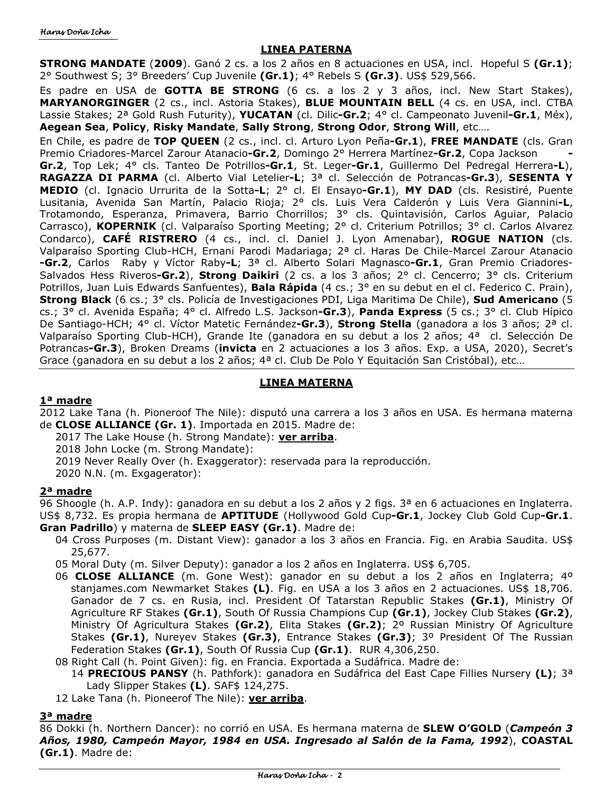## **LINEA PATERNA**

**STRONG MANDATE** (**2009**). Ganó 2 cs. a los 2 años en 8 actuaciones en USA, incl. Hopeful S **(Gr.1)**; 2° Southwest S; 3° Breeders' Cup Juvenile **(Gr.1)**; 4° Rebels S **(Gr.3)**. US\$ 529,566.

Es padre en USA de **GOTTA BE STRONG** (6 cs. a los 2 y 3 años, incl. New Start Stakes), **MARYANORGINGER** (2 cs., incl. Astoria Stakes), **BLUE MOUNTAIN BELL** (4 cs. en USA, incl. CTBA Lassie Stakes; 2ª Gold Rush Futurity), **YUCATAN** (cl. Dilic**-Gr.2**; 4° cl. Campeonato Juvenil**-Gr.1**, Méx), **Aegean Sea**, **Policy**, **Risky Mandate**, **Sally Strong**, **Strong Odor**, **Strong Will**, etc….

En Chile, es padre de **TOP QUEEN** (2 cs., incl. cl. Arturo Lyon Peña**-Gr.1**), **FREE MANDATE** (cls. Gran Premio Criadores-Marcel Zarour Atanacio**-Gr.2**, Domingo 2° Herrera Martínez**-Gr.2**, Copa Jackson **- Gr.2**, Top Lek; 4° cls. Tanteo De Potrillos**-Gr.1**, St. Leger**-Gr.1**, Guillermo Del Pedregal Herrera**-L**), **RAGAZZA DI PARMA** (cl. Alberto Vial Letelier**-L**; 3ª cl. Selección de Potrancas**-Gr.3**), **SESENTA Y MEDIO** (cl. Ignacio Urrurita de la Sotta**-L**; 2° cl. El Ensayo**-Gr.1**), **MY DAD** (cls. Resistiré, Puente Lusitania, Avenida San Martín, Palacio Rioja; 2° cls. Luis Vera Calderón y Luis Vera Giannini**-L**, Trotamondo, Esperanza, Primavera, Barrio Chorrillos; 3° cls. Quintavisión, Carlos Aguiar, Palacio Carrasco), **KOPERNIK** (cl. Valparaíso Sporting Meeting; 2° cl. Criterium Potrillos; 3° cl. Carlos Alvarez Condarco), **CAFÉ RISTRERO** (4 cs., incl. cl. Daniel J. Lyon Amenabar), **ROGUE NATION** (cls. Valparaíso Sporting Club-HCH, Ernani Parodi Madariaga; 2ª cl. Haras De Chile-Marcel Zarour Atanacio **-Gr.2**, Carlos Raby y Víctor Raby**-L**; 3ª cl. Alberto Solari Magnasco**-Gr.1**, Gran Premio Criadores-Salvados Hess Riveros**-Gr.2**), **Strong Daikiri** (2 cs. a los 3 años; 2° cl. Cencerro; 3° cls. Criterium Potrillos, Juan Luis Edwards Sanfuentes), **Bala Rápida** (4 cs.; 3° en su debut en el cl. Federico C. Prain), **Strong Black** (6 cs.; 3° cls. Policía de Investigaciones PDI, Liga Maritima De Chile), **Sud Americano** (5 cs.; 3° cl. Avenida España; 4° cl. Alfredo L.S. Jackson**-Gr.3**), **Panda Express** (5 cs.; 3° cl. Club Hípico De Santiago-HCH; 4° cl. Víctor Matetic Fernández**-Gr.3**), **Strong Stella** (ganadora a los 3 años; 2ª cl. Valparaíso Sporting Club-HCH), Grande Ite (ganadora en su debut a los 2 años; 4ª cl. Selección De Potrancas**-Gr.3**), Broken Dreams (**invicta** en 2 actuaciones a los 3 años. Exp. a USA, 2020), Secret's Grace (ganadora en su debut a los 2 años; 4ª cl. Club De Polo Y Equitación San Cristóbal), etc...

## **LINEA MATERNA**

## **1ª madre**

2012 Lake Tana (h. Pioneroof The Nile): disputó una carrera a los 3 años en USA. Es hermana materna de **CLOSE ALLIANCE (Gr. 1)**. Importada en 2015. Madre de:

- 2017 The Lake House (h. Strong Mandate): **ver arriba**.
	- 2018 John Locke (m. Strong Mandate):
	- 2019 Never Really Over (h. Exaggerator): reservada para la reproducción.
	- 2020 N.N. (m. Exgagerator):

## **2ª madre**

96 Shoogle (h. A.P. Indy): ganadora en su debut a los 2 años y 2 figs. 3ª en 6 actuaciones en Inglaterra. US\$ 8,732. Es propia hermana de **APTITUDE** (Hollywood Gold Cup**-Gr.1**, Jockey Club Gold Cup**-Gr.1**. **Gran Padrillo**) y materna de **SLEEP EASY (Gr.1)**. Madre de:

- 04 Cross Purposes (m. Distant View): ganador a los 3 años en Francia. Fig. en Arabia Saudita. US\$ 25,677.
- 05 Moral Duty (m. Silver Deputy): ganador a los 2 años en Inglaterra. US\$ 6,705.
- 06 **CLOSE ALLIANCE** (m. Gone West): ganador en su debut a los 2 años en Inglaterra; 4º stanjames.com Newmarket Stakes **(L)**. Fig. en USA a los 3 años en 2 actuaciones. US\$ 18,706. Ganador de 7 cs. en Rusia, incl. President Of Tatarstan Republic Stakes **(Gr.1)**, Ministry Of Agriculture RF Stakes **(Gr.1)**, South Of Russia Champions Cup **(Gr.1)**, Jockey Club Stakes **(Gr.2)**, Ministry Of Agricultura Stakes **(Gr.2)**, Elita Stakes **(Gr.2)**; 2º Russian Ministry Of Agriculture Stakes **(Gr.1)**, Nureyev Stakes **(Gr.3)**, Entrance Stakes **(Gr.3)**; 3º President Of The Russian Federation Stakes **(Gr.1)**, South Of Russia Cup **(Gr.1)**. RUR 4,306,250.

08 Right Call (h. Point Given): fig. en Francia. Exportada a Sudáfrica. Madre de:

14 **PRECIOUS PANSY** (h. Pathfork): ganadora en Sudáfrica del East Cape Fillies Nursery **(L)**; 3ª Lady Slipper Stakes **(L)**. SAF\$ 124,275.

12 Lake Tana (h. Pioneerof The Nile): **ver arriba**.

## **3ª madre**

86 Dokki (h. Northern Dancer): no corrió en USA. Es hermana materna de **SLEW O'GOLD** (*Campeón 3 Años, 1980, Campeón Mayor, 1984 en USA. Ingresado al Salón de la Fama, 1992*), **COASTAL (Gr.1)**. Madre de: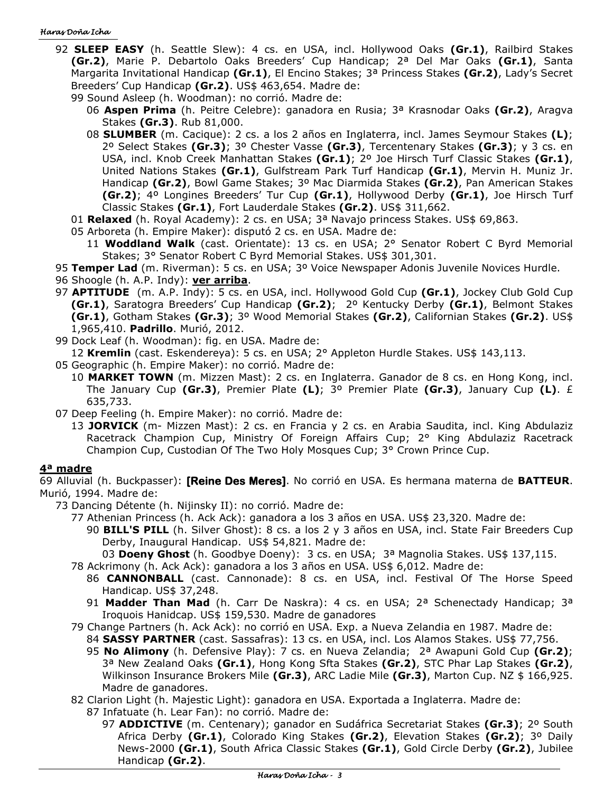#### Haras Doña Icha

- 92 **SLEEP EASY** (h. Seattle Slew): 4 cs. en USA, incl. Hollywood Oaks **(Gr.1)**, Railbird Stakes **(Gr.2)**, Marie P. Debartolo Oaks Breeders' Cup Handicap; 2ª Del Mar Oaks **(Gr.1)**, Santa Margarita Invitational Handicap **(Gr.1)**, El Encino Stakes; 3ª Princess Stakes **(Gr.2)**, Lady's Secret Breeders' Cup Handicap **(Gr.2)**. US\$ 463,654. Madre de:
	- 99 Sound Asleep (h. Woodman): no corrió. Madre de:
		- 06 **Aspen Prima** (h. Peitre Celebre): ganadora en Rusia; 3ª Krasnodar Oaks **(Gr.2)**, Aragva Stakes **(Gr.3)**. Rub 81,000.
		- 08 **SLUMBER** (m. Cacique): 2 cs. a los 2 años en Inglaterra, incl. James Seymour Stakes **(L)**; 2º Select Stakes **(Gr.3)**; 3º Chester Vasse **(Gr.3)**, Tercentenary Stakes **(Gr.3)**; y 3 cs. en USA, incl. Knob Creek Manhattan Stakes **(Gr.1)**; 2º Joe Hirsch Turf Classic Stakes **(Gr.1)**, United Nations Stakes **(Gr.1)**, Gulfstream Park Turf Handicap **(Gr.1)**, Mervin H. Muniz Jr. Handicap **(Gr.2)**, Bowl Game Stakes; 3º Mac Diarmida Stakes **(Gr.2)**, Pan American Stakes **(Gr.2)**; 4º Longines Breeders' Tur Cup **(Gr.1)**, Hollywood Derby **(Gr.1)**, Joe Hirsch Turf Classic Stakes **(Gr.1)**, Fort Lauderdale Stakes **(Gr.2)**. US\$ 311,662.
	- 01 **Relaxed** (h. Royal Academy): 2 cs. en USA; 3ª Navajo princess Stakes. US\$ 69,863.
	- 05 Arboreta (h. Empire Maker): disputó 2 cs. en USA. Madre de:
		- 11 **Woddland Walk** (cast. Orientate): 13 cs. en USA; 2° Senator Robert C Byrd Memorial Stakes; 3° Senator Robert C Byrd Memorial Stakes. US\$ 301,301.
- 95 **Temper Lad** (m. Riverman): 5 cs. en USA; 3º Voice Newspaper Adonis Juvenile Novices Hurdle.
- 96 Shoogle (h. A.P. Indy): **ver arriba**.
- 97 **APTITUDE** (m. A.P. Indy): 5 cs. en USA, incl. Hollywood Gold Cup **(Gr.1)**, Jockey Club Gold Cup **(Gr.1)**, Saratogra Breeders' Cup Handicap **(Gr.2)**; 2º Kentucky Derby **(Gr.1)**, Belmont Stakes **(Gr.1)**, Gotham Stakes **(Gr.3)**; 3º Wood Memorial Stakes **(Gr.2)**, Californian Stakes **(Gr.2)**. US\$ 1,965,410. **Padrillo**. Murió, 2012.
- 99 Dock Leaf (h. Woodman): fig. en USA. Madre de:
	- 12 **Kremlin** (cast. Eskendereya): 5 cs. en USA; 2° Appleton Hurdle Stakes. US\$ 143,113.
- 05 Geographic (h. Empire Maker): no corrió. Madre de:
	- 10 **MARKET TOWN** (m. Mizzen Mast): 2 cs. en Inglaterra. Ganador de 8 cs. en Hong Kong, incl. The January Cup **(Gr.3)**, Premier Plate **(L)**; 3º Premier Plate **(Gr.3)**, January Cup **(L)**. £ 635,733.

07 Deep Feeling (h. Empire Maker): no corrió. Madre de:

13 **JORVICK** (m- Mizzen Mast): 2 cs. en Francia y 2 cs. en Arabia Saudita, incl. King Abdulaziz Racetrack Champion Cup, Ministry Of Foreign Affairs Cup; 2° King Abdulaziz Racetrack Champion Cup, Custodian Of The Two Holy Mosques Cup; 3° Crown Prince Cup.

## **4ª madre**

69 Alluvial (h. Buckpasser): **[Reine Des Meres]**. No corrió en USA. Es hermana materna de **BATTEUR**. Murió, 1994. Madre de:

73 Dancing Détente (h. Nijinsky II): no corrió. Madre de:

- 77 Athenian Princess (h. Ack Ack): ganadora a los 3 años en USA. US\$ 23,320. Madre de:
	- 90 **BILL'S PILL** (h. Silver Ghost): 8 cs. a los 2 y 3 años en USA, incl. State Fair Breeders Cup Derby, Inaugural Handicap. US\$ 54,821. Madre de:

03 **Doeny Ghost** (h. Goodbye Doeny): 3 cs. en USA; 3ª Magnolia Stakes. US\$ 137,115.

78 Ackrimony (h. Ack Ack): ganadora a los 3 años en USA. US\$ 6,012. Madre de:

- 86 **CANNONBALL** (cast. Cannonade): 8 cs. en USA, incl. Festival Of The Horse Speed Handicap. US\$ 37,248.
- 91 **Madder Than Mad** (h. Carr De Naskra): 4 cs. en USA; 2ª Schenectady Handicap; 3ª Iroquois Hanidcap. US\$ 159,530. Madre de ganadores
- 79 Change Partners (h. Ack Ack): no corrió en USA. Exp. a Nueva Zelandia en 1987. Madre de:
	- 84 **SASSY PARTNER** (cast. Sassafras): 13 cs. en USA, incl. Los Alamos Stakes. US\$ 77,756.
	- 95 **No Alimony** (h. Defensive Play): 7 cs. en Nueva Zelandia; 2ª Awapuni Gold Cup **(Gr.2)**; 3ª New Zealand Oaks **(Gr.1)**, Hong Kong Sfta Stakes **(Gr.2)**, STC Phar Lap Stakes **(Gr.2)**, Wilkinson Insurance Brokers Mile **(Gr.3)**, ARC Ladie Mile **(Gr.3)**, Marton Cup. NZ \$ 166,925. Madre de ganadores.
- 82 Clarion Light (h. Majestic Light): ganadora en USA. Exportada a Inglaterra. Madre de:
	- 87 Infatuate (h. Lear Fan): no corrió. Madre de:
		- 97 **ADDICTIVE** (m. Centenary); ganador en Sudáfrica Secretariat Stakes **(Gr.3)**; 2º South Africa Derby **(Gr.1)**, Colorado King Stakes **(Gr.2)**, Elevation Stakes **(Gr.2)**; 3º Daily News-2000 **(Gr.1)**, South Africa Classic Stakes **(Gr.1)**, Gold Circle Derby **(Gr.2)**, Jubilee Handicap **(Gr.2)**.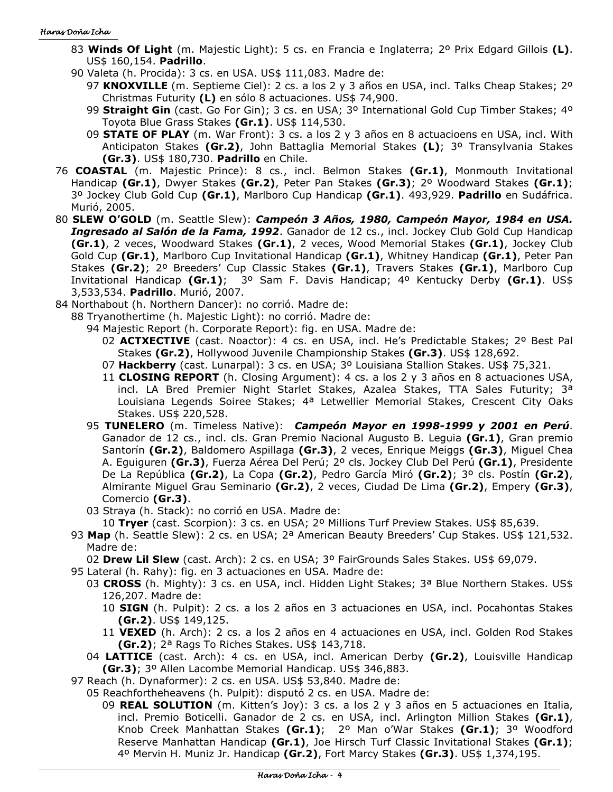#### Haras Doña Icha

- 83 **Winds Of Light** (m. Majestic Light): 5 cs. en Francia e Inglaterra; 2º Prix Edgard Gillois **(L)**. US\$ 160,154. **Padrillo**.
- 90 Valeta (h. Procida): 3 cs. en USA. US\$ 111,083. Madre de:
	- 97 **KNOXVILLE** (m. Septieme Ciel): 2 cs. a los 2 y 3 años en USA, incl. Talks Cheap Stakes; 2º Christmas Futurity **(L)** en sólo 8 actuaciones. US\$ 74,900.
	- 99 **Straight Gin** (cast. Go For Gin); 3 cs. en USA; 3º International Gold Cup Timber Stakes; 4º Toyota Blue Grass Stakes **(Gr.1)**. US\$ 114,530.
	- 09 **STATE OF PLAY** (m. War Front): 3 cs. a los 2 y 3 años en 8 actuacioens en USA, incl. With Anticipaton Stakes **(Gr.2)**, John Battaglia Memorial Stakes **(L)**; 3º Transylvania Stakes **(Gr.3)**. US\$ 180,730. **Padrillo** en Chile.
- 76 **COASTAL** (m. Majestic Prince): 8 cs., incl. Belmon Stakes **(Gr.1)**, Monmouth Invitational Handicap **(Gr.1)**, Dwyer Stakes **(Gr.2)**, Peter Pan Stakes **(Gr.3)**; 2º Woodward Stakes **(Gr.1)**; 3º Jockey Club Gold Cup **(Gr.1)**, Marlboro Cup Handicap **(Gr.1)**. 493,929. **Padrillo** en Sudáfrica. Murió, 2005.
- 80 **SLEW O'GOLD** (m. Seattle Slew): *Campeón 3 Años, 1980, Campeón Mayor, 1984 en USA. Ingresado al Salón de la Fama, 1992*. Ganador de 12 cs., incl. Jockey Club Gold Cup Handicap **(Gr.1)**, 2 veces, Woodward Stakes **(Gr.1)**, 2 veces, Wood Memorial Stakes **(Gr.1)**, Jockey Club Gold Cup **(Gr.1)**, Marlboro Cup Invitational Handicap **(Gr.1)**, Whitney Handicap **(Gr.1)**, Peter Pan Stakes **(Gr.2)**; 2º Breeders' Cup Classic Stakes **(Gr.1)**, Travers Stakes **(Gr.1)**, Marlboro Cup Invitational Handicap **(Gr.1)**; 3º Sam F. Davis Handicap; 4º Kentucky Derby **(Gr.1)**. US\$ 3,533,534. **Padrillo**. Murió, 2007.
- 84 Northabout (h. Northern Dancer): no corrió. Madre de:
	- 88 Tryanothertime (h. Majestic Light): no corrió. Madre de:
		- 94 Majestic Report (h. Corporate Report): fig. en USA. Madre de:
			- 02 **ACTXECTIVE** (cast. Noactor): 4 cs. en USA, incl. He's Predictable Stakes; 2º Best Pal Stakes **(Gr.2)**, Hollywood Juvenile Championship Stakes **(Gr.3)**. US\$ 128,692.
			- 07 **Hackberry** (cast. Lunarpal): 3 cs. en USA; 3º Louisiana Stallion Stakes. US\$ 75,321.
			- 11 **CLOSING REPORT** (h. Closing Argument): 4 cs. a los 2 y 3 años en 8 actuaciones USA, incl. LA Bred Premier Night Starlet Stakes, Azalea Stakes, TTA Sales Futurity; 3<sup>a</sup> Louisiana Legends Soiree Stakes; 4ª Letwellier Memorial Stakes, Crescent City Oaks Stakes. US\$ 220,528.
		- 95 **TUNELERO** (m. Timeless Native): *Campeón Mayor en 1998-1999 y 2001 en Perú*. Ganador de 12 cs., incl. cls. Gran Premio Nacional Augusto B. Leguia **(Gr.1)**, Gran premio Santorín **(Gr.2)**, Baldomero Aspillaga **(Gr.3)**, 2 veces, Enrique Meiggs **(Gr.3)**, Miguel Chea A. Eguiguren **(Gr.3)**, Fuerza Aérea Del Perú; 2º cls. Jockey Club Del Perú **(Gr.1)**, Presidente De La República **(Gr.2)**, La Copa **(Gr.2)**, Pedro García Miró **(Gr.2)**; 3º cls. Postín **(Gr.2)**, Almirante Miguel Grau Seminario **(Gr.2)**, 2 veces, Ciudad De Lima **(Gr.2)**, Empery **(Gr.3)**, Comercio **(Gr.3)**.
		- 03 Straya (h. Stack): no corrió en USA. Madre de:
		- 10 **Tryer** (cast. Scorpion): 3 cs. en USA; 2º Millions Turf Preview Stakes. US\$ 85,639.
	- 93 **Map** (h. Seattle Slew): 2 cs. en USA; 2ª American Beauty Breeders' Cup Stakes. US\$ 121,532. Madre de:

02 **Drew Lil Slew** (cast. Arch): 2 cs. en USA; 3º FairGrounds Sales Stakes. US\$ 69,079.

- 95 Lateral (h. Rahy): fig. en 3 actuaciones en USA. Madre de:
	- 03 **CROSS** (h. Mighty): 3 cs. en USA, incl. Hidden Light Stakes; 3ª Blue Northern Stakes. US\$ 126,207. Madre de:
		- 10 **SIGN** (h. Pulpit): 2 cs. a los 2 años en 3 actuaciones en USA, incl. Pocahontas Stakes **(Gr.2)**. US\$ 149,125.
		- 11 **VEXED** (h. Arch): 2 cs. a los 2 años en 4 actuaciones en USA, incl. Golden Rod Stakes **(Gr.2)**; 2ª Rags To Riches Stakes. US\$ 143,718.
	- 04 **LATTICE** (cast. Arch): 4 cs. en USA, incl. American Derby **(Gr.2)**, Louisville Handicap **(Gr.3)**; 3º Allen Lacombe Memorial Handicap. US\$ 346,883.
- 97 Reach (h. Dynaformer): 2 cs. en USA. US\$ 53,840. Madre de:
	- 05 Reachfortheheavens (h. Pulpit): disputó 2 cs. en USA. Madre de:
		- 09 **REAL SOLUTION** (m. Kitten's Joy): 3 cs. a los 2 y 3 años en 5 actuaciones en Italia, incl. Premio Boticelli. Ganador de 2 cs. en USA, incl. Arlington Million Stakes **(Gr.1)**, Knob Creek Manhattan Stakes **(Gr.1)**; 2º Man o'War Stakes **(Gr.1)**; 3º Woodford Reserve Manhattan Handicap **(Gr.1)**, Joe Hirsch Turf Classic Invitational Stakes **(Gr.1)**; 4º Mervin H. Muniz Jr. Handicap **(Gr.2)**, Fort Marcy Stakes **(Gr.3)**. US\$ 1,374,195.